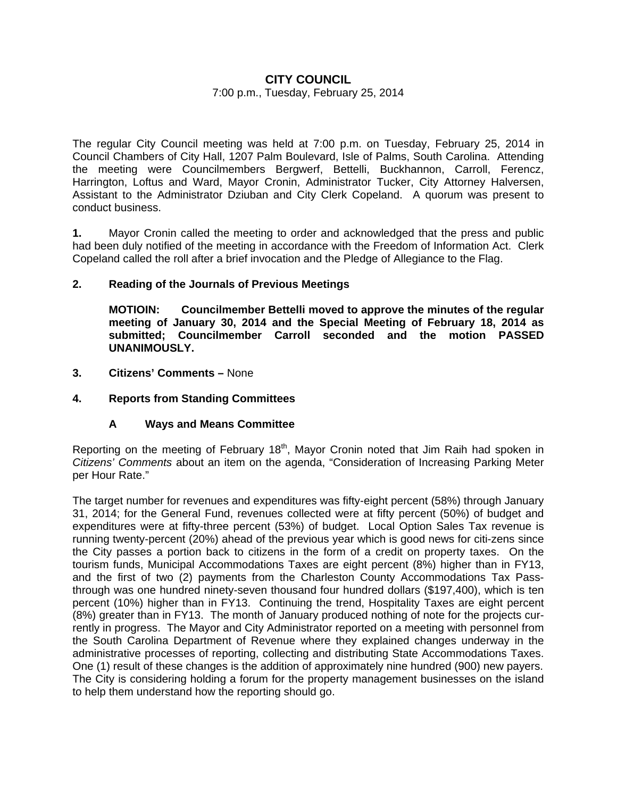# **CITY COUNCIL**

### 7:00 p.m., Tuesday, February 25, 2014

The regular City Council meeting was held at 7:00 p.m. on Tuesday, February 25, 2014 in Council Chambers of City Hall, 1207 Palm Boulevard, Isle of Palms, South Carolina. Attending the meeting were Councilmembers Bergwerf, Bettelli, Buckhannon, Carroll, Ferencz, Harrington, Loftus and Ward, Mayor Cronin, Administrator Tucker, City Attorney Halversen, Assistant to the Administrator Dziuban and City Clerk Copeland. A quorum was present to conduct business.

**1.** Mayor Cronin called the meeting to order and acknowledged that the press and public had been duly notified of the meeting in accordance with the Freedom of Information Act. Clerk Copeland called the roll after a brief invocation and the Pledge of Allegiance to the Flag.

### **2. Reading of the Journals of Previous Meetings**

 **MOTIOIN: Councilmember Bettelli moved to approve the minutes of the regular meeting of January 30, 2014 and the Special Meeting of February 18, 2014 as submitted; Councilmember Carroll seconded and the motion PASSED UNANIMOUSLY.** 

**3. Citizens' Comments –** None

### **4. Reports from Standing Committees**

# **A Ways and Means Committee**

Reporting on the meeting of February 18<sup>th</sup>, Mayor Cronin noted that Jim Raih had spoken in *Citizens' Comments* about an item on the agenda, "Consideration of Increasing Parking Meter per Hour Rate."

The target number for revenues and expenditures was fifty-eight percent (58%) through January 31, 2014; for the General Fund, revenues collected were at fifty percent (50%) of budget and expenditures were at fifty-three percent (53%) of budget. Local Option Sales Tax revenue is running twenty-percent (20%) ahead of the previous year which is good news for citi-zens since the City passes a portion back to citizens in the form of a credit on property taxes. On the tourism funds, Municipal Accommodations Taxes are eight percent (8%) higher than in FY13, and the first of two (2) payments from the Charleston County Accommodations Tax Passthrough was one hundred ninety-seven thousand four hundred dollars (\$197,400), which is ten percent (10%) higher than in FY13. Continuing the trend, Hospitality Taxes are eight percent (8%) greater than in FY13. The month of January produced nothing of note for the projects currently in progress. The Mayor and City Administrator reported on a meeting with personnel from the South Carolina Department of Revenue where they explained changes underway in the administrative processes of reporting, collecting and distributing State Accommodations Taxes. One (1) result of these changes is the addition of approximately nine hundred (900) new payers. The City is considering holding a forum for the property management businesses on the island to help them understand how the reporting should go.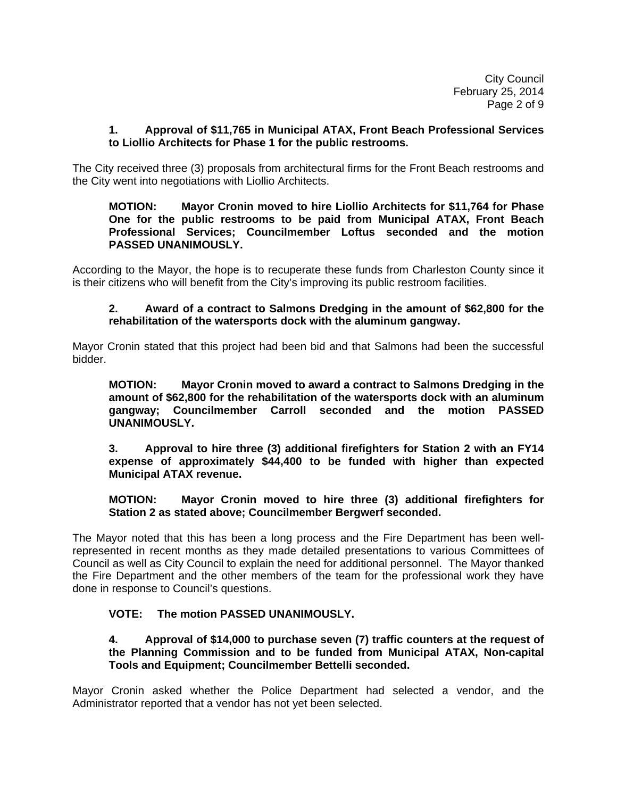City Council February 25, 2014 Page 2 of 9

### **1. Approval of \$11,765 in Municipal ATAX, Front Beach Professional Services to Liollio Architects for Phase 1 for the public restrooms.**

The City received three (3) proposals from architectural firms for the Front Beach restrooms and the City went into negotiations with Liollio Architects.

 **MOTION: Mayor Cronin moved to hire Liollio Architects for \$11,764 for Phase One for the public restrooms to be paid from Municipal ATAX, Front Beach Professional Services; Councilmember Loftus seconded and the motion PASSED UNANIMOUSLY.** 

According to the Mayor, the hope is to recuperate these funds from Charleston County since it is their citizens who will benefit from the City's improving its public restroom facilities.

## **2. Award of a contract to Salmons Dredging in the amount of \$62,800 for the rehabilitation of the watersports dock with the aluminum gangway.**

Mayor Cronin stated that this project had been bid and that Salmons had been the successful bidder.

**MOTION: Mayor Cronin moved to award a contract to Salmons Dredging in the amount of \$62,800 for the rehabilitation of the watersports dock with an aluminum gangway; Councilmember Carroll seconded and the motion PASSED UNANIMOUSLY.** 

 **3. Approval to hire three (3) additional firefighters for Station 2 with an FY14 expense of approximately \$44,400 to be funded with higher than expected Municipal ATAX revenue.** 

 **MOTION: Mayor Cronin moved to hire three (3) additional firefighters for Station 2 as stated above; Councilmember Bergwerf seconded.** 

The Mayor noted that this has been a long process and the Fire Department has been wellrepresented in recent months as they made detailed presentations to various Committees of Council as well as City Council to explain the need for additional personnel. The Mayor thanked the Fire Department and the other members of the team for the professional work they have done in response to Council's questions.

# **VOTE: The motion PASSED UNANIMOUSLY.**

## **4. Approval of \$14,000 to purchase seven (7) traffic counters at the request of the Planning Commission and to be funded from Municipal ATAX, Non-capital Tools and Equipment; Councilmember Bettelli seconded.**

Mayor Cronin asked whether the Police Department had selected a vendor, and the Administrator reported that a vendor has not yet been selected.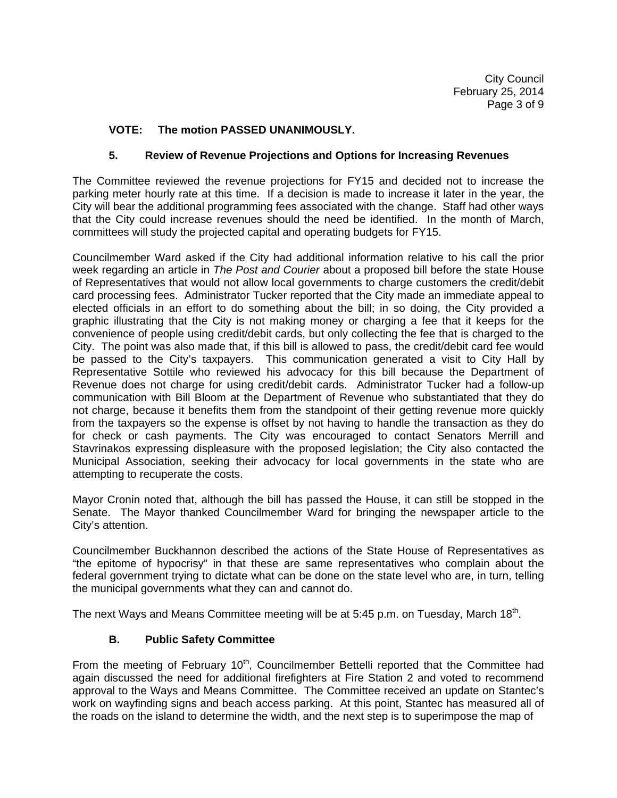# **VOTE: The motion PASSED UNANIMOUSLY.**

# **5. Review of Revenue Projections and Options for Increasing Revenues**

The Committee reviewed the revenue projections for FY15 and decided not to increase the parking meter hourly rate at this time. If a decision is made to increase it later in the year, the City will bear the additional programming fees associated with the change. Staff had other ways that the City could increase revenues should the need be identified. In the month of March, committees will study the projected capital and operating budgets for FY15.

Councilmember Ward asked if the City had additional information relative to his call the prior week regarding an article in *The Post and Courier* about a proposed bill before the state House of Representatives that would not allow local governments to charge customers the credit/debit card processing fees. Administrator Tucker reported that the City made an immediate appeal to elected officials in an effort to do something about the bill; in so doing, the City provided a graphic illustrating that the City is not making money or charging a fee that it keeps for the convenience of people using credit/debit cards, but only collecting the fee that is charged to the City. The point was also made that, if this bill is allowed to pass, the credit/debit card fee would be passed to the City's taxpayers. This communication generated a visit to City Hall by Representative Sottile who reviewed his advocacy for this bill because the Department of Revenue does not charge for using credit/debit cards. Administrator Tucker had a follow-up communication with Bill Bloom at the Department of Revenue who substantiated that they do not charge, because it benefits them from the standpoint of their getting revenue more quickly from the taxpayers so the expense is offset by not having to handle the transaction as they do for check or cash payments. The City was encouraged to contact Senators Merrill and Stavrinakos expressing displeasure with the proposed legislation; the City also contacted the Municipal Association, seeking their advocacy for local governments in the state who are attempting to recuperate the costs.

Mayor Cronin noted that, although the bill has passed the House, it can still be stopped in the Senate. The Mayor thanked Councilmember Ward for bringing the newspaper article to the City's attention.

Councilmember Buckhannon described the actions of the State House of Representatives as "the epitome of hypocrisy" in that these are same representatives who complain about the federal government trying to dictate what can be done on the state level who are, in turn, telling the municipal governments what they can and cannot do.

The next Ways and Means Committee meeting will be at 5:45 p.m. on Tuesday, March 18<sup>th</sup>.

# **B. Public Safety Committee**

From the meeting of February  $10<sup>th</sup>$ , Councilmember Bettelli reported that the Committee had again discussed the need for additional firefighters at Fire Station 2 and voted to recommend approval to the Ways and Means Committee. The Committee received an update on Stantec's work on wayfinding signs and beach access parking. At this point, Stantec has measured all of the roads on the island to determine the width, and the next step is to superimpose the map of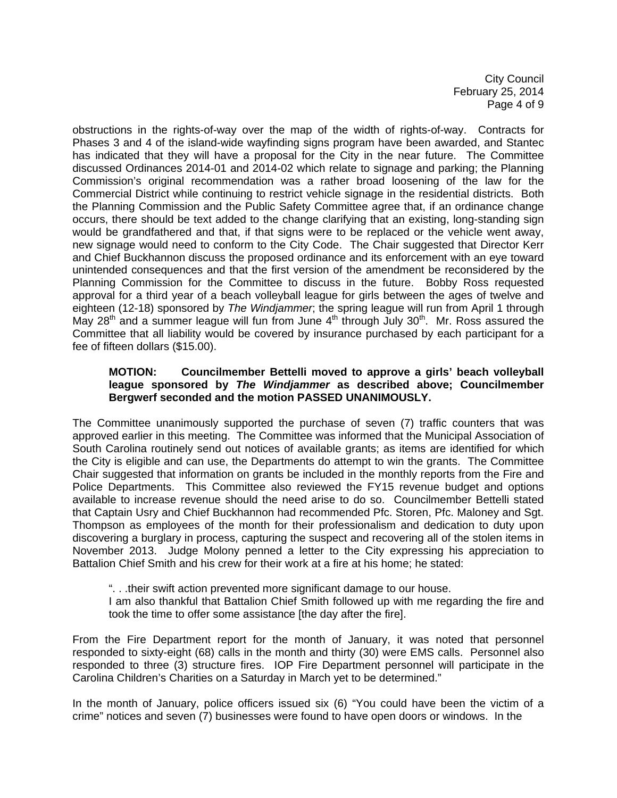City Council February 25, 2014 Page 4 of 9

obstructions in the rights-of-way over the map of the width of rights-of-way. Contracts for Phases 3 and 4 of the island-wide wayfinding signs program have been awarded, and Stantec has indicated that they will have a proposal for the City in the near future. The Committee discussed Ordinances 2014-01 and 2014-02 which relate to signage and parking; the Planning Commission's original recommendation was a rather broad loosening of the law for the Commercial District while continuing to restrict vehicle signage in the residential districts. Both the Planning Commission and the Public Safety Committee agree that, if an ordinance change occurs, there should be text added to the change clarifying that an existing, long-standing sign would be grandfathered and that, if that signs were to be replaced or the vehicle went away, new signage would need to conform to the City Code. The Chair suggested that Director Kerr and Chief Buckhannon discuss the proposed ordinance and its enforcement with an eye toward unintended consequences and that the first version of the amendment be reconsidered by the Planning Commission for the Committee to discuss in the future. Bobby Ross requested approval for a third year of a beach volleyball league for girls between the ages of twelve and eighteen (12-18) sponsored by *The Windjammer*; the spring league will run from April 1 through May  $28<sup>th</sup>$  and a summer league will fun from June  $4<sup>th</sup>$  through July  $30<sup>th</sup>$ . Mr. Ross assured the Committee that all liability would be covered by insurance purchased by each participant for a fee of fifteen dollars (\$15.00).

## **MOTION: Councilmember Bettelli moved to approve a girls' beach volleyball league sponsored by** *The Windjammer* **as described above; Councilmember Bergwerf seconded and the motion PASSED UNANIMOUSLY.**

The Committee unanimously supported the purchase of seven (7) traffic counters that was approved earlier in this meeting. The Committee was informed that the Municipal Association of South Carolina routinely send out notices of available grants; as items are identified for which the City is eligible and can use, the Departments do attempt to win the grants. The Committee Chair suggested that information on grants be included in the monthly reports from the Fire and Police Departments. This Committee also reviewed the FY15 revenue budget and options available to increase revenue should the need arise to do so. Councilmember Bettelli stated that Captain Usry and Chief Buckhannon had recommended Pfc. Storen, Pfc. Maloney and Sgt. Thompson as employees of the month for their professionalism and dedication to duty upon discovering a burglary in process, capturing the suspect and recovering all of the stolen items in November 2013. Judge Molony penned a letter to the City expressing his appreciation to Battalion Chief Smith and his crew for their work at a fire at his home; he stated:

". . .their swift action prevented more significant damage to our house.

 I am also thankful that Battalion Chief Smith followed up with me regarding the fire and took the time to offer some assistance [the day after the fire].

From the Fire Department report for the month of January, it was noted that personnel responded to sixty-eight (68) calls in the month and thirty (30) were EMS calls. Personnel also responded to three (3) structure fires. IOP Fire Department personnel will participate in the Carolina Children's Charities on a Saturday in March yet to be determined."

In the month of January, police officers issued six (6) "You could have been the victim of a crime" notices and seven (7) businesses were found to have open doors or windows. In the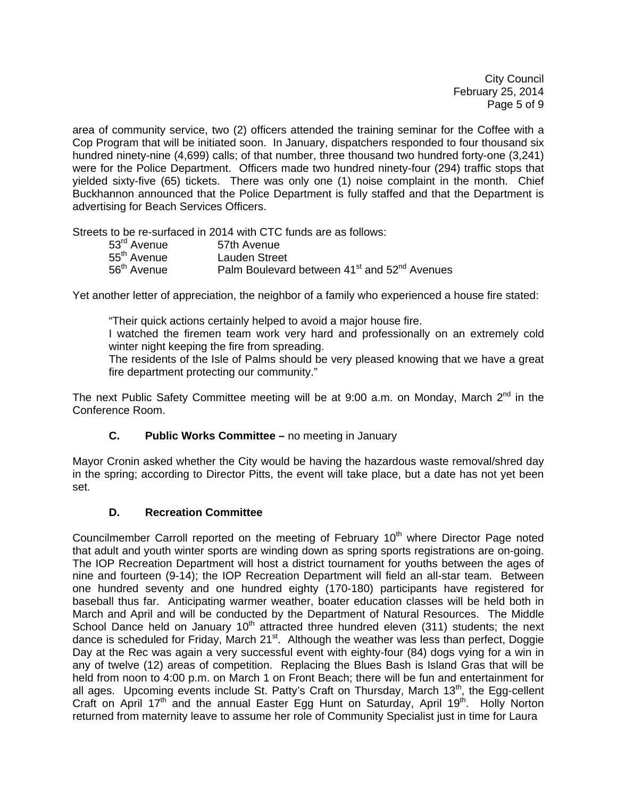City Council February 25, 2014 Page 5 of 9

area of community service, two (2) officers attended the training seminar for the Coffee with a Cop Program that will be initiated soon. In January, dispatchers responded to four thousand six hundred ninety-nine (4,699) calls; of that number, three thousand two hundred forty-one (3,241) were for the Police Department. Officers made two hundred ninety-four (294) traffic stops that yielded sixty-five (65) tickets. There was only one (1) noise complaint in the month. Chief Buckhannon announced that the Police Department is fully staffed and that the Department is advertising for Beach Services Officers.

Streets to be re-surfaced in 2014 with CTC funds are as follows:

| 53 <sup>rd</sup> Avenue | 57th Avenue                                                          |
|-------------------------|----------------------------------------------------------------------|
| 55 <sup>th</sup> Avenue | Lauden Street                                                        |
| 56 <sup>th</sup> Avenue | Palm Boulevard between 41 <sup>st</sup> and 52 <sup>nd</sup> Avenues |

Yet another letter of appreciation, the neighbor of a family who experienced a house fire stated:

"Their quick actions certainly helped to avoid a major house fire.

 I watched the firemen team work very hard and professionally on an extremely cold winter night keeping the fire from spreading.

 The residents of the Isle of Palms should be very pleased knowing that we have a great fire department protecting our community."

The next Public Safety Committee meeting will be at 9:00 a.m. on Monday, March  $2^{nd}$  in the Conference Room.

# **C. Public Works Committee –** no meeting in January

Mayor Cronin asked whether the City would be having the hazardous waste removal/shred day in the spring; according to Director Pitts, the event will take place, but a date has not yet been set.

# **D. Recreation Committee**

Councilmember Carroll reported on the meeting of February  $10<sup>th</sup>$  where Director Page noted that adult and youth winter sports are winding down as spring sports registrations are on-going. The IOP Recreation Department will host a district tournament for youths between the ages of nine and fourteen (9-14); the IOP Recreation Department will field an all-star team. Between one hundred seventy and one hundred eighty (170-180) participants have registered for baseball thus far. Anticipating warmer weather, boater education classes will be held both in March and April and will be conducted by the Department of Natural Resources. The Middle School Dance held on January  $10<sup>th</sup>$  attracted three hundred eleven (311) students; the next dance is scheduled for Friday, March 21<sup>st</sup>. Although the weather was less than perfect, Doggie Day at the Rec was again a very successful event with eighty-four (84) dogs vying for a win in any of twelve (12) areas of competition. Replacing the Blues Bash is Island Gras that will be held from noon to 4:00 p.m. on March 1 on Front Beach; there will be fun and entertainment for all ages. Upcoming events include St. Patty's Craft on Thursday, March  $13<sup>th</sup>$ , the Egg-cellent Craft on April 17<sup>th</sup> and the annual Easter Egg Hunt on Saturday, April 19<sup>th</sup>. Holly Norton returned from maternity leave to assume her role of Community Specialist just in time for Laura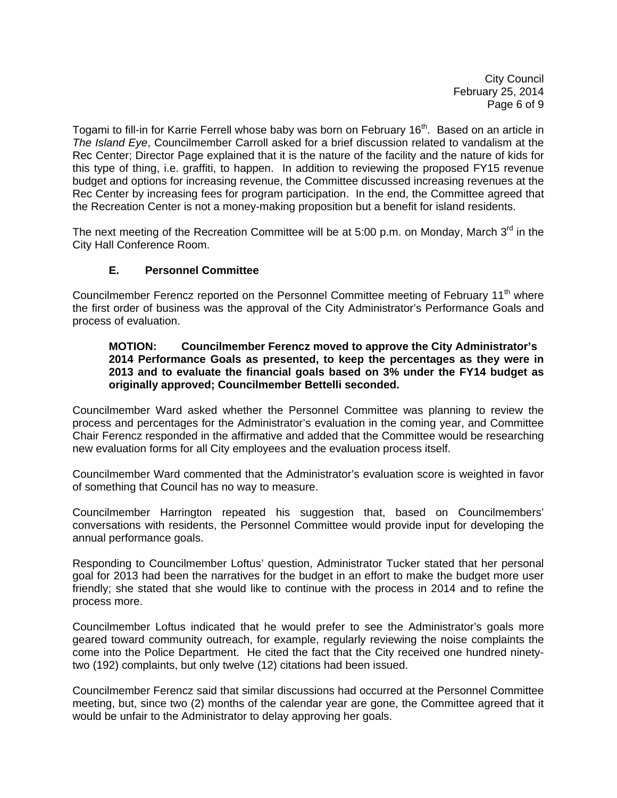City Council February 25, 2014 Page 6 of 9

Togami to fill-in for Karrie Ferrell whose baby was born on February 16<sup>th</sup>. Based on an article in *The Island Eye*, Councilmember Carroll asked for a brief discussion related to vandalism at the Rec Center; Director Page explained that it is the nature of the facility and the nature of kids for this type of thing, i.e. graffiti, to happen. In addition to reviewing the proposed FY15 revenue budget and options for increasing revenue, the Committee discussed increasing revenues at the Rec Center by increasing fees for program participation. In the end, the Committee agreed that the Recreation Center is not a money-making proposition but a benefit for island residents.

The next meeting of the Recreation Committee will be at 5:00 p.m. on Monday, March 3<sup>rd</sup> in the City Hall Conference Room.

# **E. Personnel Committee**

Councilmember Ferencz reported on the Personnel Committee meeting of February 11<sup>th</sup> where the first order of business was the approval of the City Administrator's Performance Goals and process of evaluation.

### **MOTION: Councilmember Ferencz moved to approve the City Administrator's 2014 Performance Goals as presented, to keep the percentages as they were in 2013 and to evaluate the financial goals based on 3% under the FY14 budget as originally approved; Councilmember Bettelli seconded.**

Councilmember Ward asked whether the Personnel Committee was planning to review the process and percentages for the Administrator's evaluation in the coming year, and Committee Chair Ferencz responded in the affirmative and added that the Committee would be researching new evaluation forms for all City employees and the evaluation process itself.

Councilmember Ward commented that the Administrator's evaluation score is weighted in favor of something that Council has no way to measure.

Councilmember Harrington repeated his suggestion that, based on Councilmembers' conversations with residents, the Personnel Committee would provide input for developing the annual performance goals.

Responding to Councilmember Loftus' question, Administrator Tucker stated that her personal goal for 2013 had been the narratives for the budget in an effort to make the budget more user friendly; she stated that she would like to continue with the process in 2014 and to refine the process more.

Councilmember Loftus indicated that he would prefer to see the Administrator's goals more geared toward community outreach, for example, regularly reviewing the noise complaints the come into the Police Department. He cited the fact that the City received one hundred ninetytwo (192) complaints, but only twelve (12) citations had been issued.

Councilmember Ferencz said that similar discussions had occurred at the Personnel Committee meeting, but, since two (2) months of the calendar year are gone, the Committee agreed that it would be unfair to the Administrator to delay approving her goals.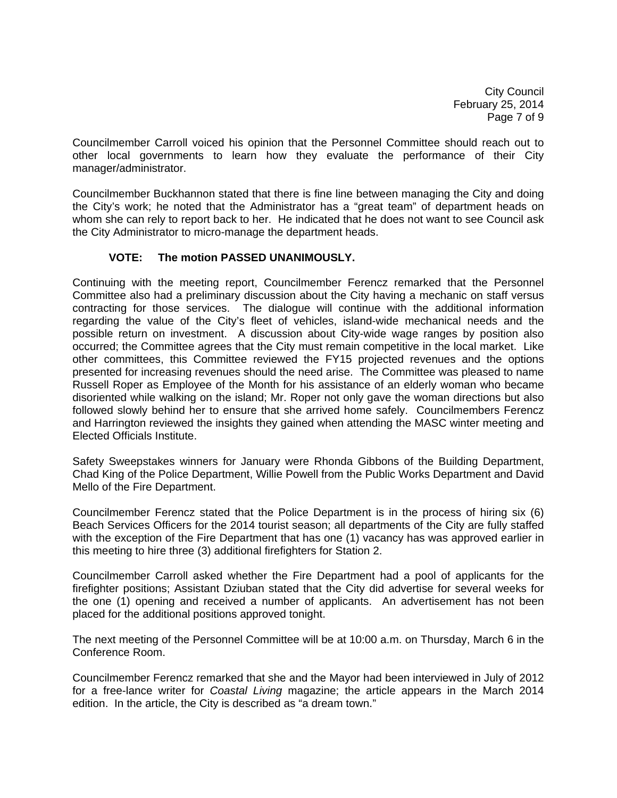City Council February 25, 2014 Page 7 of 9

Councilmember Carroll voiced his opinion that the Personnel Committee should reach out to other local governments to learn how they evaluate the performance of their City manager/administrator.

Councilmember Buckhannon stated that there is fine line between managing the City and doing the City's work; he noted that the Administrator has a "great team" of department heads on whom she can rely to report back to her. He indicated that he does not want to see Council ask the City Administrator to micro-manage the department heads.

# **VOTE: The motion PASSED UNANIMOUSLY.**

Continuing with the meeting report, Councilmember Ferencz remarked that the Personnel Committee also had a preliminary discussion about the City having a mechanic on staff versus contracting for those services. The dialogue will continue with the additional information regarding the value of the City's fleet of vehicles, island-wide mechanical needs and the possible return on investment. A discussion about City-wide wage ranges by position also occurred; the Committee agrees that the City must remain competitive in the local market. Like other committees, this Committee reviewed the FY15 projected revenues and the options presented for increasing revenues should the need arise. The Committee was pleased to name Russell Roper as Employee of the Month for his assistance of an elderly woman who became disoriented while walking on the island; Mr. Roper not only gave the woman directions but also followed slowly behind her to ensure that she arrived home safely. Councilmembers Ferencz and Harrington reviewed the insights they gained when attending the MASC winter meeting and Elected Officials Institute.

Safety Sweepstakes winners for January were Rhonda Gibbons of the Building Department, Chad King of the Police Department, Willie Powell from the Public Works Department and David Mello of the Fire Department.

Councilmember Ferencz stated that the Police Department is in the process of hiring six (6) Beach Services Officers for the 2014 tourist season; all departments of the City are fully staffed with the exception of the Fire Department that has one (1) vacancy has was approved earlier in this meeting to hire three (3) additional firefighters for Station 2.

Councilmember Carroll asked whether the Fire Department had a pool of applicants for the firefighter positions; Assistant Dziuban stated that the City did advertise for several weeks for the one (1) opening and received a number of applicants. An advertisement has not been placed for the additional positions approved tonight.

The next meeting of the Personnel Committee will be at 10:00 a.m. on Thursday, March 6 in the Conference Room.

Councilmember Ferencz remarked that she and the Mayor had been interviewed in July of 2012 for a free-lance writer for *Coastal Living* magazine; the article appears in the March 2014 edition. In the article, the City is described as "a dream town."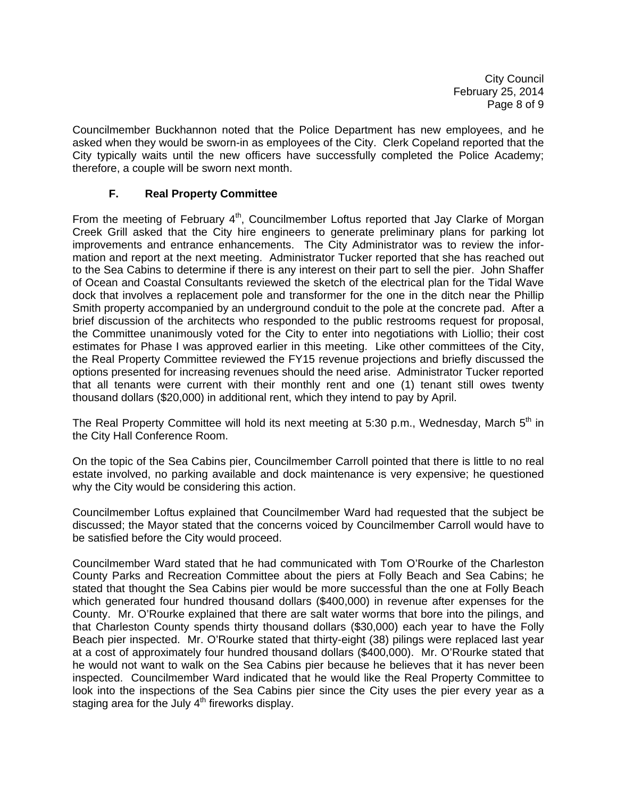City Council February 25, 2014 Page 8 of 9

Councilmember Buckhannon noted that the Police Department has new employees, and he asked when they would be sworn-in as employees of the City. Clerk Copeland reported that the City typically waits until the new officers have successfully completed the Police Academy; therefore, a couple will be sworn next month.

# **F. Real Property Committee**

From the meeting of February 4<sup>th</sup>, Councilmember Loftus reported that Jay Clarke of Morgan Creek Grill asked that the City hire engineers to generate preliminary plans for parking lot improvements and entrance enhancements. The City Administrator was to review the information and report at the next meeting. Administrator Tucker reported that she has reached out to the Sea Cabins to determine if there is any interest on their part to sell the pier. John Shaffer of Ocean and Coastal Consultants reviewed the sketch of the electrical plan for the Tidal Wave dock that involves a replacement pole and transformer for the one in the ditch near the Phillip Smith property accompanied by an underground conduit to the pole at the concrete pad. After a brief discussion of the architects who responded to the public restrooms request for proposal, the Committee unanimously voted for the City to enter into negotiations with Liollio; their cost estimates for Phase I was approved earlier in this meeting. Like other committees of the City, the Real Property Committee reviewed the FY15 revenue projections and briefly discussed the options presented for increasing revenues should the need arise. Administrator Tucker reported that all tenants were current with their monthly rent and one (1) tenant still owes twenty thousand dollars (\$20,000) in additional rent, which they intend to pay by April.

The Real Property Committee will hold its next meeting at 5:30 p.m., Wednesday, March 5<sup>th</sup> in the City Hall Conference Room.

On the topic of the Sea Cabins pier, Councilmember Carroll pointed that there is little to no real estate involved, no parking available and dock maintenance is very expensive; he questioned why the City would be considering this action.

Councilmember Loftus explained that Councilmember Ward had requested that the subject be discussed; the Mayor stated that the concerns voiced by Councilmember Carroll would have to be satisfied before the City would proceed.

Councilmember Ward stated that he had communicated with Tom O'Rourke of the Charleston County Parks and Recreation Committee about the piers at Folly Beach and Sea Cabins; he stated that thought the Sea Cabins pier would be more successful than the one at Folly Beach which generated four hundred thousand dollars (\$400,000) in revenue after expenses for the County. Mr. O'Rourke explained that there are salt water worms that bore into the pilings, and that Charleston County spends thirty thousand dollars (\$30,000) each year to have the Folly Beach pier inspected. Mr. O'Rourke stated that thirty-eight (38) pilings were replaced last year at a cost of approximately four hundred thousand dollars (\$400,000). Mr. O'Rourke stated that he would not want to walk on the Sea Cabins pier because he believes that it has never been inspected. Councilmember Ward indicated that he would like the Real Property Committee to look into the inspections of the Sea Cabins pier since the City uses the pier every year as a staging area for the July  $4<sup>th</sup>$  fireworks display.